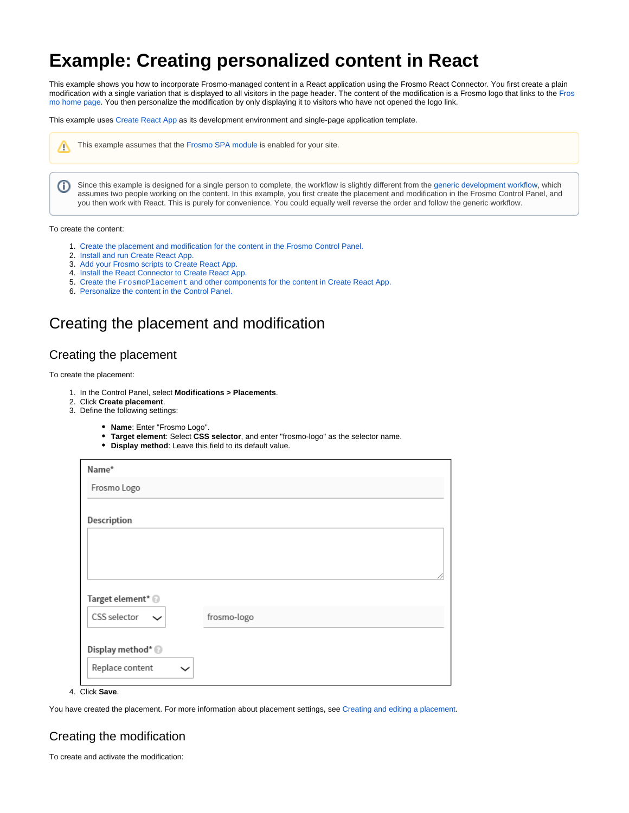# **Example: Creating personalized content in React**

This example shows you how to incorporate Frosmo-managed content in a React application using the Frosmo React Connector. You first create a plain modification with a single variation that is displayed to all visitors in the page header. The content of the modification is a Frosmo logo that links to the [Fros](https://frosmo.com/) [mo home page](https://frosmo.com/). You then personalize the modification by only displaying it to visitors who have not opened the logo link.

This example uses [Create React App](https://create-react-app.dev/) as its development environment and single-page application template.



This example assumes that the [Frosmo SPA module](https://docs.frosmo.com/display/dev/Introduction+to+the+React+Connector#IntroductiontotheReactConnector-HowtheReactConnectorworks) is enabled for your site.

Since this example is designed for a single person to complete, the workflow is slightly different from the [generic development workflow](https://docs.frosmo.com/display/dev/React+Connector#ReactConnector-Developmentworkflow), which O) assumes two people working on the content. In this example, you first create the placement and modification in the Frosmo Control Panel, and you then work with React. This is purely for convenience. You could equally well reverse the order and follow the generic workflow.

#### To create the content:

- 1. [Create the placement and modification for the content in the Frosmo Control Panel.](#page-0-0)
- 2. [Install and run Create React App.](#page-3-0)
- 3. [Add your Frosmo scripts to Create React App.](#page-3-1)
- 4. [Install the React Connector to Create React App.](#page-4-0)
- 5. Create the FrosmoPlacement [and other components for the content in Create React App.](#page-4-1)
- 6. [Personalize the content in the Control Panel.](#page-7-0)

## <span id="page-0-0"></span>Creating the placement and modification

### Creating the placement

To create the placement:

- 1. In the Control Panel, select **Modifications > Placements**.
- 2. Click **Create placement**.
- 3. Define the following settings:
	- **Name**: Enter "Frosmo Logo".
	- **Target element**: Select **CSS selector**, and enter "frosmo-logo" as the selector name.
	- **Display method**: Leave this field to its default value.

| Name*                        |             |
|------------------------------|-------------|
| Frosmo Logo                  |             |
| Description                  |             |
|                              |             |
|                              |             |
|                              | h           |
| Target element* <sup>@</sup> |             |
| CSS selector<br>$\check{ }$  | frosmo-logo |
|                              |             |
| Display method* <sup>@</sup> |             |
| Replace content<br>◡         |             |

4. Click **Save**.

You have created the placement. For more information about placement settings, see [Creating and editing a placement.](https://docs.frosmo.com/display/ui/Creating+and+editing+a+placement#Creatingandeditingaplacement-Placementsettings)

### <span id="page-0-1"></span>Creating the modification

To create and activate the modification: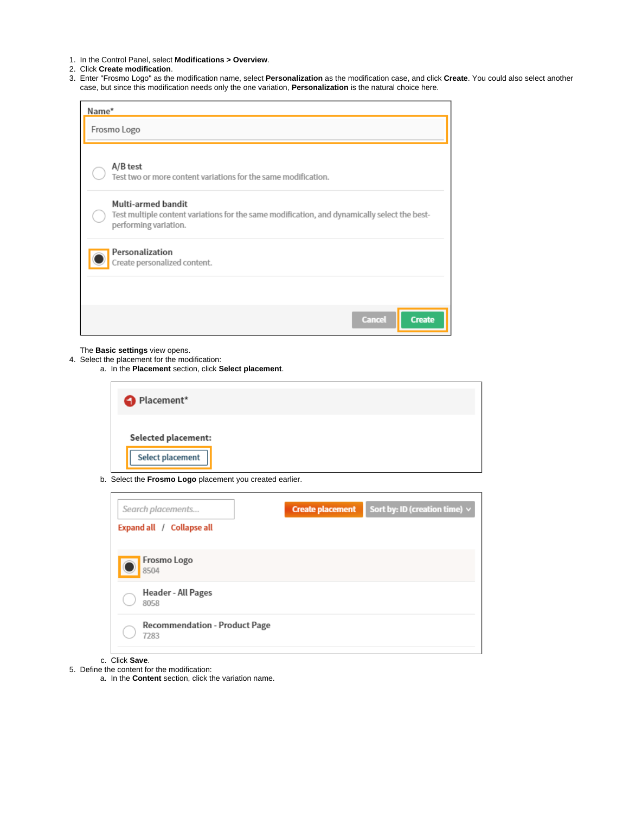- 1. In the Control Panel, select **Modifications > Overview**.
- 2. Click **Create modification**.
- 3. Enter "Frosmo Logo" as the modification name, select **Personalization** as the modification case, and click **Create**. You could also select another case, but since this modification needs only the one variation, **Personalization** is the natural choice here.

| Name* |                                                                                                                                             |
|-------|---------------------------------------------------------------------------------------------------------------------------------------------|
|       | Frosmo Logo                                                                                                                                 |
|       | A/B test<br>Test two or more content variations for the same modification.                                                                  |
|       | Multi-armed bandit<br>Test multiple content variations for the same modification, and dynamically select the best-<br>performing variation. |
|       | Personalization<br>Create personalized content.                                                                                             |
|       |                                                                                                                                             |
|       | <b>Cancel</b><br><b>Create</b>                                                                                                              |

The **Basic settings** view opens.

 $\overline{a}$ 

- 4. Select the placement for the modification:
	- a. In the **Placement** section, click **Select placement**.

| Placement*                                                                                                                                                                                                                                                                      |  |  |
|---------------------------------------------------------------------------------------------------------------------------------------------------------------------------------------------------------------------------------------------------------------------------------|--|--|
| <b>Selected placement:</b><br>the control of the control of the control of the control of the control of the control of the control of the control of the control of the control of the control of the control of the control of the control of the control<br>Select placement |  |  |

b. Select the **Frosmo Logo** placement you created earlier.

| <b>Create placement</b> | Sort by: ID (creation time) $\vee$<br>I |
|-------------------------|-----------------------------------------|
|                         |                                         |
|                         |                                         |
|                         |                                         |
|                         |                                         |
|                         | <b>Recommendation - Product Page</b>    |

- c. Click **Save**.
- 5. Define the content for the modification:
	- a. In the **Content** section, click the variation name.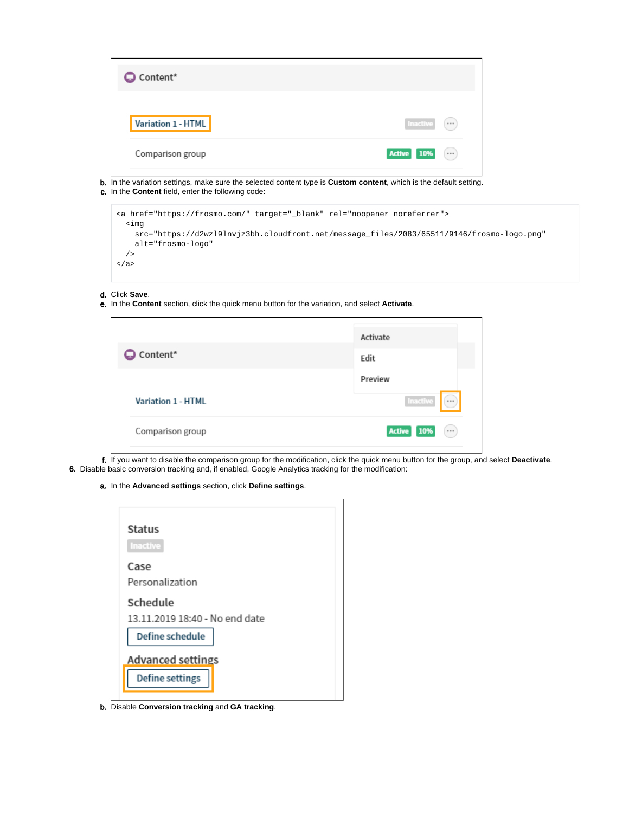| C Content*         |                                     |
|--------------------|-------------------------------------|
| Variation 1 - HTML | Inactive<br>$\left( \cdots \right)$ |
| Comparison group   | <b>Active 10%</b><br>$(\cdots)$     |

- b. In the variation settings, make sure the selected content type is **Custom content**, which is the default setting.
- c. In the **Content** field, enter the following code:

| <a href="https://frosmo.com/" rel="noopener noreferrer" target=" blank"></a>                      |
|---------------------------------------------------------------------------------------------------|
| kima<br>src="https://d2wz19lnvjz3bh.cloudfront.net/message_files/2083/65511/9146/frosmo-logo.png" |
| alt="frosmo-logo"                                                                                 |
|                                                                                                   |
| $\langle$ a>                                                                                      |
|                                                                                                   |

- d. Click **Save**.
- e. In the **Content** section, click the quick menu button for the variation, and select **Activate**.

|                    | Activate     |
|--------------------|--------------|
| Content*           | Edit         |
|                    | Preview      |
| Variation 1 - HTML | Inactive<br> |
|                    |              |

- f. If you want to disable the comparison group for the modification, click the quick menu button for the group, and select **Deactivate**. 6. Disable basic conversion tracking and, if enabled, Google Analytics tracking for the modification:
	- a. In the **Advanced settings** section, click **Define settings**.

| <b>Status</b>                  |
|--------------------------------|
| Inactive                       |
| Case                           |
| Personalization                |
| Schedule                       |
| 13.11.2019 18:40 - No end date |
| Define schedule                |
| <b>Advanced settings</b>       |
| Define settings                |

b. Disable **Conversion tracking** and **GA tracking**.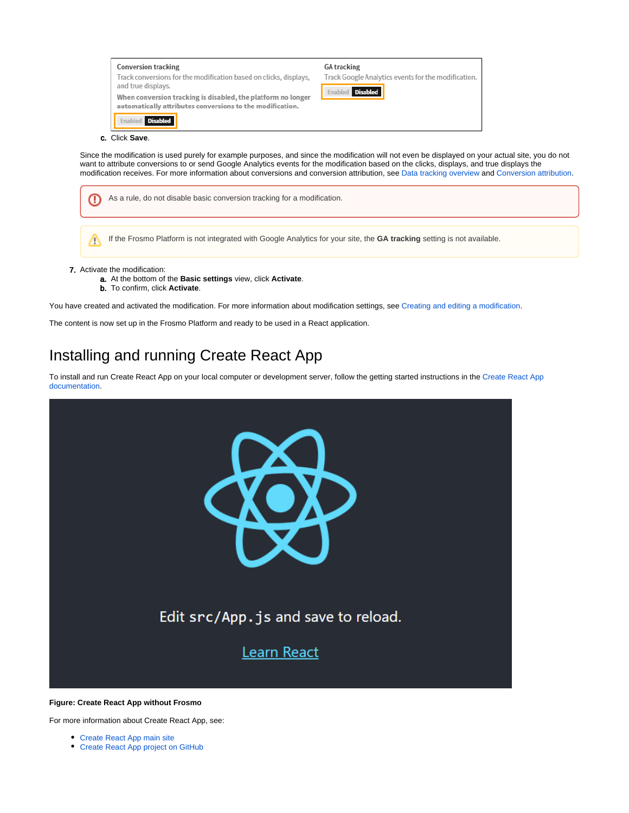



- 7. Activate the modification:
	- a. At the bottom of the **Basic settings** view, click **Activate**.
	- b. To confirm, click **Activate**.

You have created and activated the modification. For more information about modification settings, see [Creating and editing a modification.](https://docs.frosmo.com/display/ui/Creating+and+editing+a+modification)

The content is now set up in the Frosmo Platform and ready to be used in a React application.

## <span id="page-3-0"></span>Installing and running Create React App

To install and run Create React App on your local computer or development server, follow the getting started instructions in the [Create React App](https://create-react-app.dev/docs/getting-started)  [documentation](https://create-react-app.dev/docs/getting-started).



#### **Figure: Create React App without Frosmo**

<span id="page-3-1"></span>For more information about Create React App, see:

- [Create React App main site](https://create-react-app.dev/)
- [Create React App project on GitHub](https://github.com/facebook/create-react-app)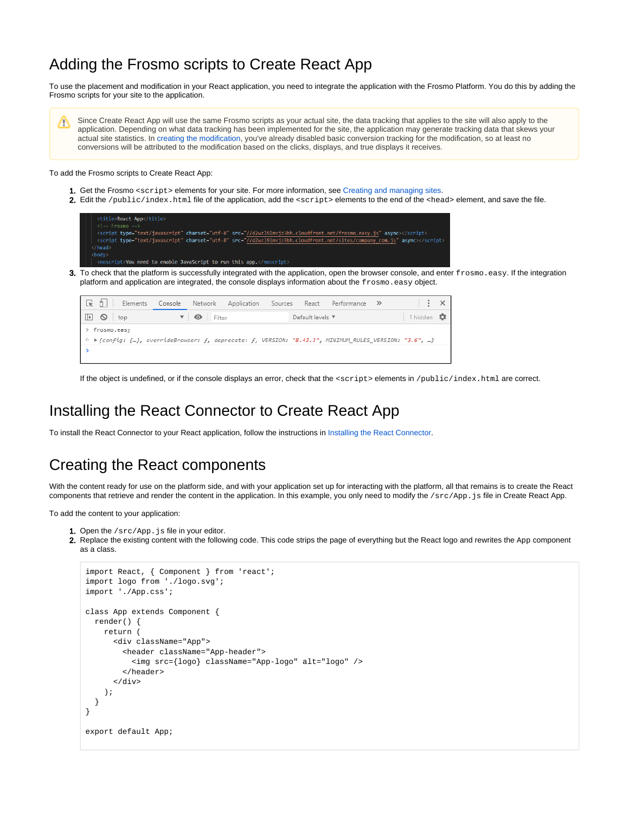## Adding the Frosmo scripts to Create React App

To use the placement and modification in your React application, you need to integrate the application with the Frosmo Platform. You do this by adding the Frosmo scripts for your site to the application.

Since Create React App will use the same Frosmo scripts as your actual site, the data tracking that applies to the site will also apply to the Λ application. Depending on what data tracking has been implemented for the site, the application may generate tracking data that skews your actual site statistics. In [creating the modification](#page-0-1), you've already disabled basic conversion tracking for the modification, so at least no conversions will be attributed to the modification based on the clicks, displays, and true displays it receives.

To add the Frosmo scripts to Create React App:

- 1. Get the Frosmo <script> elements for your site. For more information, see [Creating and managing sites.](https://docs.frosmo.com/display/ui/Creating+and+managing+sites#Creatingandmanagingsites-GettingtheFrosmoscriptelementsforasite)
- 2. Edit the /public/index.html file of the application, add the <script>elements to the end of the <head>element, and save the file.

| <title>React App</title>                                                                                                     |
|------------------------------------------------------------------------------------------------------------------------------|
| $\langle$ !-- Frosmo -->                                                                                                     |
| <script async="" charset="utf-8" src="//d2wzl9lnvjz3bh.cloudfront.net/frosmo.easy.js" type="text/javascript"></script>       |
| <script async="" charset="utf-8" src="//d2wzl9lnvjz3bh.cloudfront.net/sites/company com.js" type="text/javascript"></script> |
| $\langle$ /head>                                                                                                             |
| <body></body>                                                                                                                |
| <noscript>You need to enable JavaScript to run this app.</noscript>                                                          |
| Fo check that the platform is successfully integrated with the application, open the browser console, and ente               |
|                                                                                                                              |

3. er frosmo. easy. If the integration platform and application are integrated, the console displays information about the frosmo.easy object.

| । №  ∩।<br>Elements               |                         |                     |  |                       | Console Network Application Sources React Performance >>> |                    |  |
|-----------------------------------|-------------------------|---------------------|--|-----------------------|-----------------------------------------------------------|--------------------|--|
| $\mathbb{E} \quad \mathbb{O}$ top | $\overline{\mathbf{v}}$ | $\bullet$<br>Filter |  | Default levels $\Psi$ |                                                           | 1 hidden <b>ID</b> |  |
| > frosmo.easy                     |                         |                     |  |                       |                                                           |                    |  |
|                                   |                         |                     |  |                       |                                                           |                    |  |
|                                   |                         |                     |  |                       |                                                           |                    |  |

If the object is undefined, or if the console displays an error, check that the <script> elements in /public/index.html are correct.

## <span id="page-4-0"></span>Installing the React Connector to Create React App

To install the React Connector to your React application, follow the instructions in [Installing the React Connector.](https://docs.frosmo.com/display/dev/Installing+the+React+Connector)

## <span id="page-4-1"></span>Creating the React components

With the content ready for use on the platform side, and with your application set up for interacting with the platform, all that remains is to create the React components that retrieve and render the content in the application. In this example, you only need to modify the /src/App. js file in Create React App.

To add the content to your application:

- 1. Open the /src/App.js file in your editor.
- 2. Replace the existing content with the following code. This code strips the page of everything but the React logo and rewrites the App component as a class.

```
import React, { Component } from 'react';
import logo from './logo.svg';
import './App.css';
class App extends Component {
  render() {
    return (
       <div className="App">
         <header className="App-header">
           <img src={logo} className="App-logo" alt="logo" />
         </header>
       </div>
     );
   }
}
export default App;
```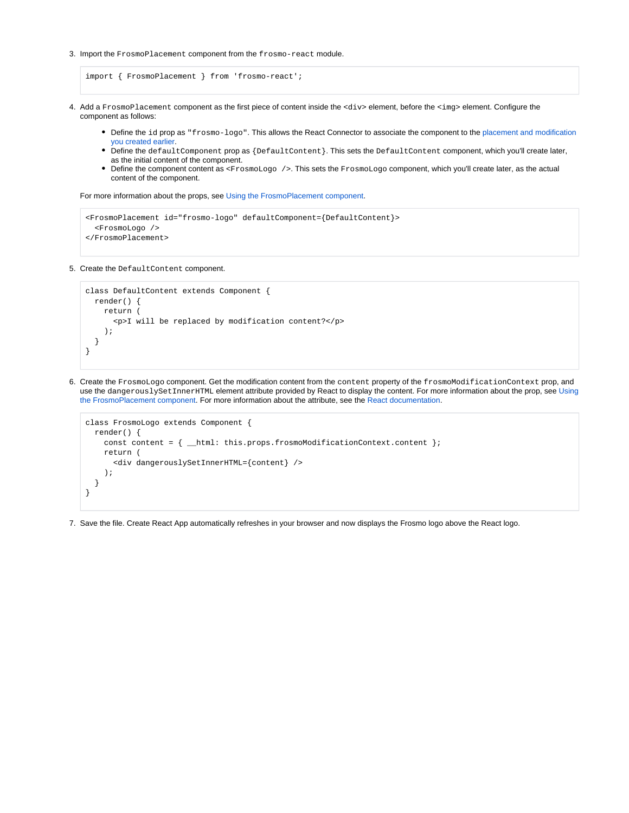3. Import the FrosmoPlacement component from the frosmo-react module.

```
import { FrosmoPlacement } from 'frosmo-react';
```
- 4. Add a FrosmoPlacement component as the first piece of content inside the <div> element, before the <img> element. Configure the component as follows:
	- Define the id prop as "frosmo-logo". This allows the React Connector to associate the component to the placement and modification [you created earlier](#page-0-0).
	- Define the defaultComponent prop as {DefaultContent}. This sets the DefaultContent component, which you'll create later, as the initial content of the component.
	- Define the component content as <FrosmoLogo />. This sets the FrosmoLogo component, which you'll create later, as the actual content of the component.

For more information about the props, see [Using the FrosmoPlacement component.](https://docs.frosmo.com/display/dev/Using+the+FrosmoPlacement+component#UsingtheFrosmoPlacementcomponent-FrosmoPlacementprops)

```
<FrosmoPlacement id="frosmo-logo" defaultComponent={DefaultContent}>
   <FrosmoLogo />
</FrosmoPlacement>
```
5. Create the DefaultContent component.

```
class DefaultContent extends Component {
  render() {
     return (
       <p>I will be replaced by modification content?</p>
     );
   }
}
```
6. Create the FrosmoLogo component. Get the modification content from the content property of the frosmoModificationContext prop, and use the dangerouslySetInnerHTML element attribute provided by React to display the content. For more information about the prop, see [Using](https://docs.frosmo.com/display/dev/Using+the+FrosmoPlacement+component#UsingtheFrosmoPlacementcomponent-FrosmoPlacementprops) [the FrosmoPlacement component.](https://docs.frosmo.com/display/dev/Using+the+FrosmoPlacement+component#UsingtheFrosmoPlacementcomponent-FrosmoPlacementprops) For more information about the attribute, see the [React documentation.](https://reactjs.org/docs/dom-elements.html#dangerouslysetinnerhtml)

```
class FrosmoLogo extends Component {
  render() {
    const content = { _html: this.props.frosmoModificationContext.content };
     return (
       <div dangerouslySetInnerHTML={content} />
     );
   }
}
```
7. Save the file. Create React App automatically refreshes in your browser and now displays the Frosmo logo above the React logo.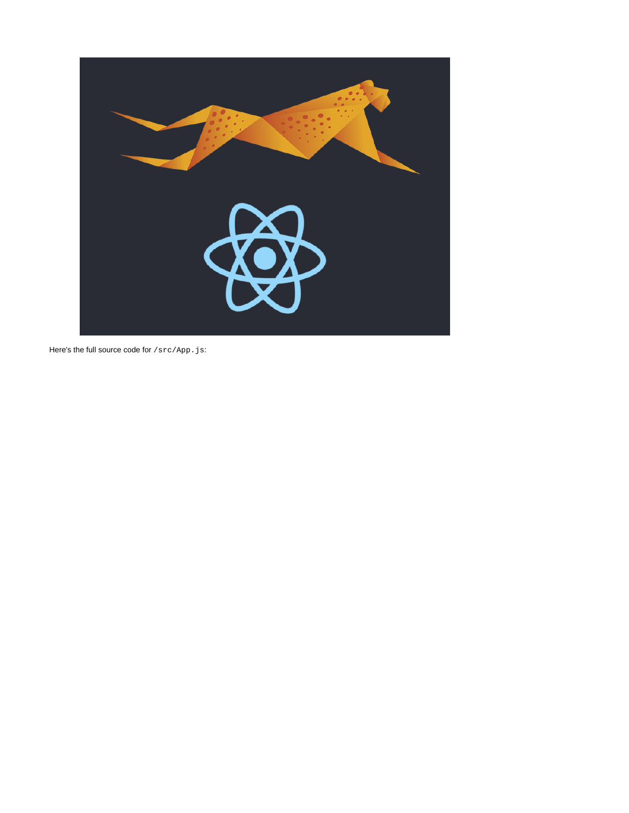

Here's the full source code for  $/\text{src/App.}$  js: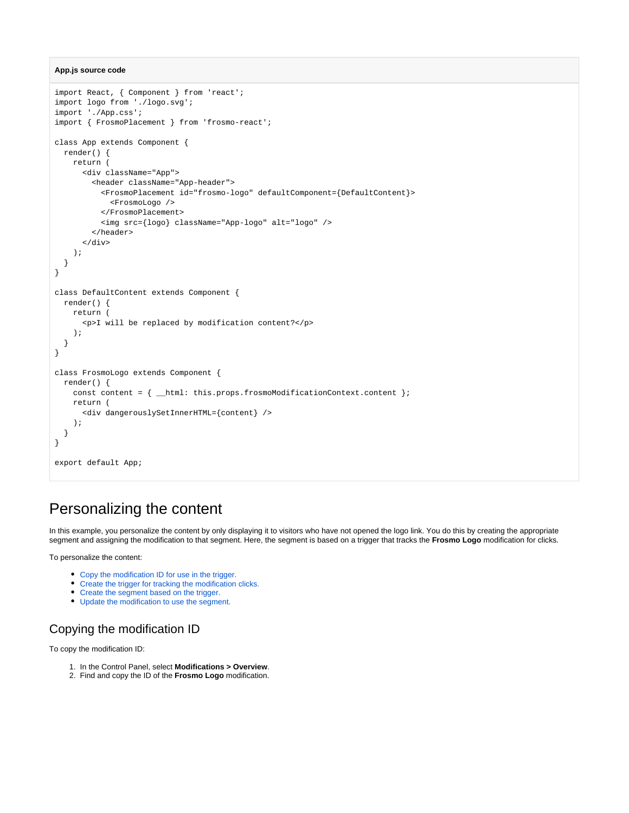```
App.js source code
```

```
import React, { Component } from 'react';
import logo from './logo.svg';
import './App.css';
import { FrosmoPlacement } from 'frosmo-react';
class App extends Component {
  render() {
     return (
       <div className="App">
        <header className="App-header">
           <FrosmoPlacement id="frosmo-logo" defaultComponent={DefaultContent}>
             <FrosmoLogo />
           </FrosmoPlacement>
           <img src={logo} className="App-logo" alt="logo" />
         </header>
       </div>
     );
  }
}
class DefaultContent extends Component {
  render() {
    return (
       <p>I will be replaced by modification content?</p>
     );
  }
}
class FrosmoLogo extends Component {
  render() {
    const content = { __html: this.props.frosmoModificationContext.content };
    return (
       <div dangerouslySetInnerHTML={content} />
     );
  }
}
export default App;
```
## <span id="page-7-0"></span>Personalizing the content

In this example, you personalize the content by only displaying it to visitors who have not opened the logo link. You do this by creating the appropriate segment and assigning the modification to that segment. Here, the segment is based on a trigger that tracks the **Frosmo Logo** modification for clicks.

To personalize the content:

- [Copy the modification ID for use in the trigger.](#page-7-1)
- [Create the trigger for tracking the modification clicks.](#page-8-0)
- [Create the segment based on the trigger.](#page-8-1)
- [Update the modification to use the segment.](#page-9-0)

#### <span id="page-7-1"></span>Copying the modification ID

To copy the modification ID:

- 1. In the Control Panel, select **Modifications > Overview**.
- 2. Find and copy the ID of the **Frosmo Logo** modification.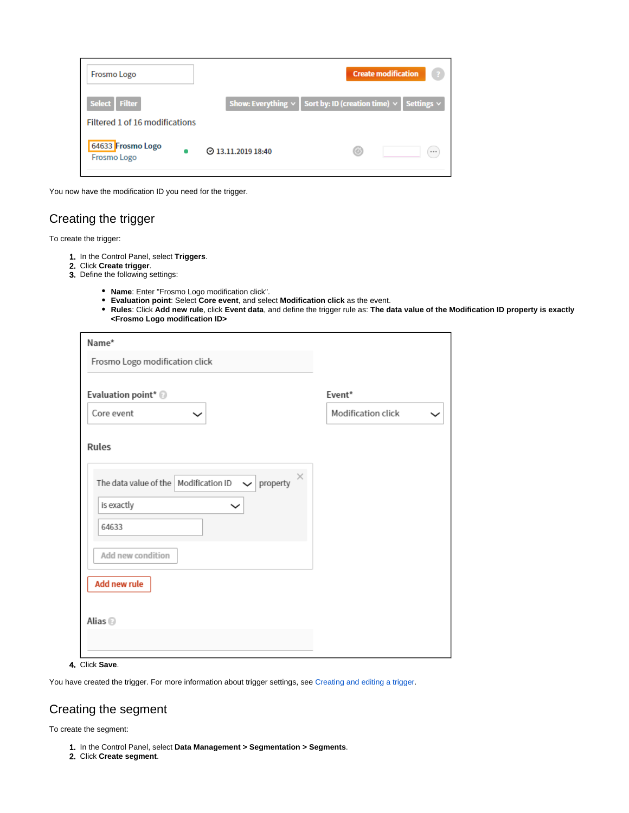| <b>Frosmo Logo</b>                      |                          | <b>Create modification</b>                                                 |      |
|-----------------------------------------|--------------------------|----------------------------------------------------------------------------|------|
| Select Filter                           |                          | Show: Everything $\vee$ Sort by: ID (creation time) $\vee$ Settings $\vee$ |      |
| Filtered 1 of 16 modifications          |                          |                                                                            |      |
| 64633 Frosmo Logo<br><b>Frosmo Logo</b> | $\odot$ 13.11.2019 18:40 | Œ                                                                          | 1.11 |

You now have the modification ID you need for the trigger.

### <span id="page-8-0"></span>Creating the trigger

To create the trigger:

- 1. In the Control Panel, select **Triggers**.
- 2. Click **Create trigger**.
- 3. Define the following settings:
	- **Name**: Enter "Frosmo Logo modification click".
	- **Evaluation point**: Select **Core event**, and select **Modification click** as the event.
	- **Rules**: Click **Add new rule**, click **Event data**, and define the trigger rule as: **The data value of the Modification ID property is exactly <Frosmo Logo modification ID>**

| Name*                                                                                                |                    |
|------------------------------------------------------------------------------------------------------|--------------------|
| Frosmo Logo modification click                                                                       |                    |
| Evaluation point* @                                                                                  | Event*             |
| Core event                                                                                           | Modification click |
| Rules<br>$\times$<br>The data value of the Modification ID<br>$\vee$ property<br>is exactly<br>64633 |                    |
| Add new condition                                                                                    |                    |
| Add new rule<br>Alias <sup>O</sup>                                                                   |                    |

4. Click **Save**.

You have created the trigger. For more information about trigger settings, see [Creating and editing a trigger.](https://docs.frosmo.com/display/ui/Creating+and+editing+a+trigger#Creatingandeditingatrigger-Triggersettings)

### <span id="page-8-1"></span>Creating the segment

To create the segment:

- 1. In the Control Panel, select **Data Management > Segmentation > Segments**.
- 2. Click **Create segment**.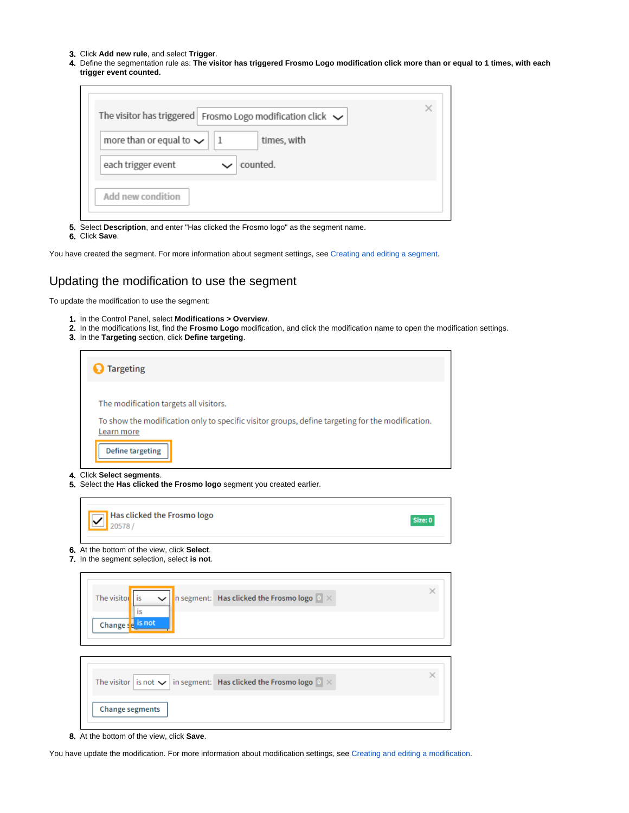- 3. Click **Add new rule**, and select **Trigger**.
- 4. Define the segmentation rule as: **The visitor has triggered Frosmo Logo modification click more than or equal to 1 times, with each trigger event counted.**

| The visitor has triggered Frosmo Logo modification click $\checkmark$ |                    |  |
|-----------------------------------------------------------------------|--------------------|--|
| more than or equal to $\sim$                                          | times, with<br>  1 |  |
| each trigger event                                                    | counted.           |  |

5. Select **Description**, and enter "Has clicked the Frosmo logo" as the segment name.

6. Click **Save**.

You have created the segment. For more information about segment settings, see [Creating and editing a segment](https://docs.frosmo.com/display/ui/Creating+and+editing+a+segment#Creatingandeditingasegment-Segmentationsettings).

#### <span id="page-9-0"></span>Updating the modification to use the segment

To update the modification to use the segment:

- 1. In the Control Panel, select **Modifications > Overview**.
- 2. In the modifications list, find the **Frosmo Logo** modification, and click the modification name to open the modification settings.
- 3. In the **Targeting** section, click **Define targeting**.

| <b>Targeting</b>                                                                                               |
|----------------------------------------------------------------------------------------------------------------|
| The modification targets all visitors.                                                                         |
| To show the modification only to specific visitor groups, define targeting for the modification.<br>Learn more |
| Define targeting                                                                                               |

4. Click **Select segments**.

5. Select the **Has clicked the Frosmo logo** segment you created earlier.



- 6. At the bottom of the view, click **Select**.
- 7. In the segment selection, select **is not**.

| The visitor is $\left \mathbf{v}\right $ is $\left \mathbf{v}\right $ is egment: Has clicked the Frosmo logo $\left \mathbf{v}\right  \times$<br>is<br>Change se is not | × |
|-------------------------------------------------------------------------------------------------------------------------------------------------------------------------|---|
| The visitor is not $\vee$ in segment: Has clicked the Frosmo logo $\mathbb{R} \times$                                                                                   | × |
| <b>Change segments</b>                                                                                                                                                  |   |

8. At the bottom of the view, click **Save**.

You have update the modification. For more information about modification settings, see [Creating and editing a modification.](https://docs.frosmo.com/display/ui/Creating+and+editing+a+modification)